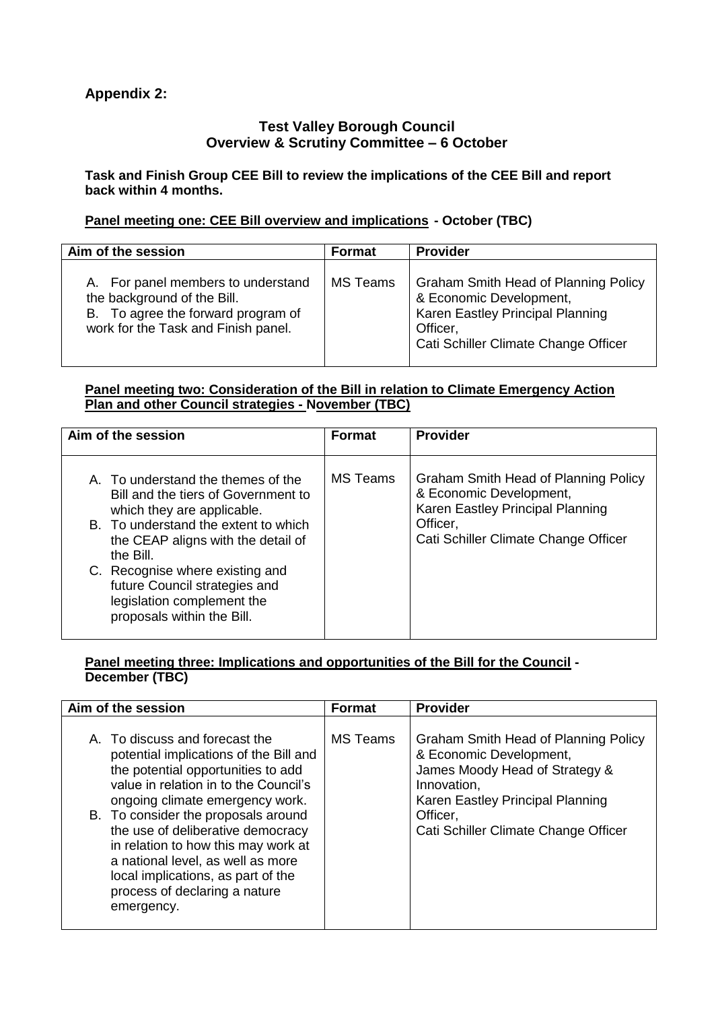# **Appendix 2:**

## **Test Valley Borough Council Overview & Scrutiny Committee – 6 October**

**Task and Finish Group CEE Bill to review the implications of the CEE Bill and report back within 4 months.** 

# **Panel meeting one: CEE Bill overview and implications - October (TBC)**

| Aim of the session                                                                                                                             | <b>Format</b> | <b>Provider</b>                                                                                                                                                |
|------------------------------------------------------------------------------------------------------------------------------------------------|---------------|----------------------------------------------------------------------------------------------------------------------------------------------------------------|
| A. For panel members to understand<br>the background of the Bill.<br>B. To agree the forward program of<br>work for the Task and Finish panel. | MS Teams      | <b>Graham Smith Head of Planning Policy</b><br>& Economic Development,<br>Karen Eastley Principal Planning<br>Officer,<br>Cati Schiller Climate Change Officer |

### **Panel meeting two: Consideration of the Bill in relation to Climate Emergency Action Plan and other Council strategies - November (TBC)**

| Aim of the session                                                                                                                                                                                                                                                                                                                 | <b>Format</b>   | <b>Provider</b>                                                                                                                                         |
|------------------------------------------------------------------------------------------------------------------------------------------------------------------------------------------------------------------------------------------------------------------------------------------------------------------------------------|-----------------|---------------------------------------------------------------------------------------------------------------------------------------------------------|
| A. To understand the themes of the<br>Bill and the tiers of Government to<br>which they are applicable.<br>B. To understand the extent to which<br>the CEAP aligns with the detail of<br>the Bill.<br>C. Recognise where existing and<br>future Council strategies and<br>legislation complement the<br>proposals within the Bill. | <b>MS</b> Teams | Graham Smith Head of Planning Policy<br>& Economic Development,<br>Karen Eastley Principal Planning<br>Officer,<br>Cati Schiller Climate Change Officer |

### **Panel meeting three: Implications and opportunities of the Bill for the Council - December (TBC)**

| Aim of the session                                                                                                                                                                                                                                                                                                                                                                                                                      | <b>Format</b>   | <b>Provider</b>                                                                                                                                                                                          |
|-----------------------------------------------------------------------------------------------------------------------------------------------------------------------------------------------------------------------------------------------------------------------------------------------------------------------------------------------------------------------------------------------------------------------------------------|-----------------|----------------------------------------------------------------------------------------------------------------------------------------------------------------------------------------------------------|
| A. To discuss and forecast the<br>potential implications of the Bill and<br>the potential opportunities to add<br>value in relation in to the Council's<br>ongoing climate emergency work.<br>B. To consider the proposals around<br>the use of deliberative democracy<br>in relation to how this may work at<br>a national level, as well as more<br>local implications, as part of the<br>process of declaring a nature<br>emergency. | <b>MS Teams</b> | Graham Smith Head of Planning Policy<br>& Economic Development,<br>James Moody Head of Strategy &<br>Innovation,<br>Karen Eastley Principal Planning<br>Officer,<br>Cati Schiller Climate Change Officer |